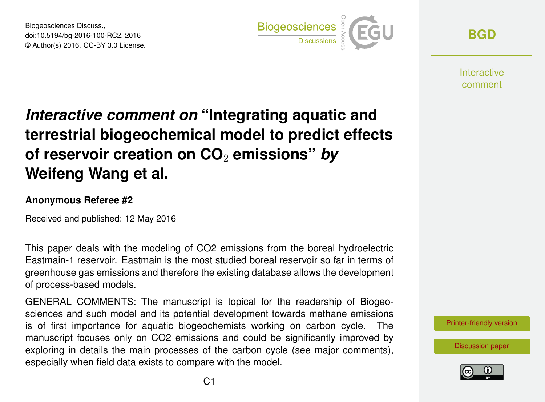Biogeosciences Discuss., doi:10.5194/bg-2016-100-RC2, 2016 © Author(s) 2016. CC-BY 3.0 License.



**[BGD](http://www.biogeosciences-discuss.net/)**

**Interactive** comment

# *Interactive comment on* **"Integrating aquatic and terrestrial biogeochemical model to predict effects of reservoir creation on CO**<sup>2</sup> **emissions"** *by* **Weifeng Wang et al.**

#### **Anonymous Referee #2**

Received and published: 12 May 2016

This paper deals with the modeling of CO2 emissions from the boreal hydroelectric Eastmain-1 reservoir. Eastmain is the most studied boreal reservoir so far in terms of greenhouse gas emissions and therefore the existing database allows the development of process-based models.

GENERAL COMMENTS: The manuscript is topical for the readership of Biogeosciences and such model and its potential development towards methane emissions is of first importance for aquatic biogeochemists working on carbon cycle. The manuscript focuses only on CO2 emissions and could be significantly improved by exploring in details the main processes of the carbon cycle (see major comments), especially when field data exists to compare with the model.

[Printer-friendly version](http://www.biogeosciences-discuss.net/bg-2016-100/bg-2016-100-RC2-print.pdf)

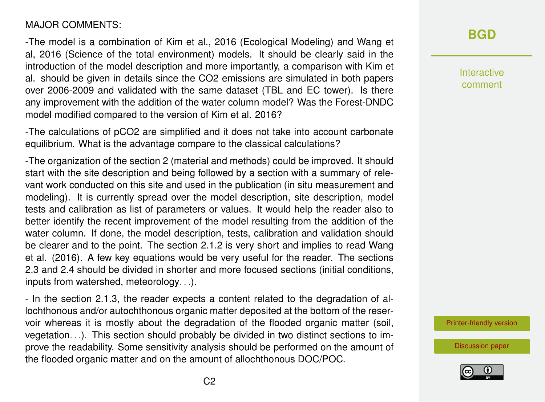#### MAJOR COMMENTS:

-The model is a combination of Kim et al., 2016 (Ecological Modeling) and Wang et al, 2016 (Science of the total environment) models. It should be clearly said in the introduction of the model description and more importantly, a comparison with Kim et al. should be given in details since the CO2 emissions are simulated in both papers over 2006-2009 and validated with the same dataset (TBL and EC tower). Is there any improvement with the addition of the water column model? Was the Forest-DNDC model modified compared to the version of Kim et al. 2016?

-The calculations of pCO2 are simplified and it does not take into account carbonate equilibrium. What is the advantage compare to the classical calculations?

-The organization of the section 2 (material and methods) could be improved. It should start with the site description and being followed by a section with a summary of relevant work conducted on this site and used in the publication (in situ measurement and modeling). It is currently spread over the model description, site description, model tests and calibration as list of parameters or values. It would help the reader also to better identify the recent improvement of the model resulting from the addition of the water column. If done, the model description, tests, calibration and validation should be clearer and to the point. The section 2.1.2 is very short and implies to read Wang et al. (2016). A few key equations would be very useful for the reader. The sections 2.3 and 2.4 should be divided in shorter and more focused sections (initial conditions, inputs from watershed, meteorology. . .).

- In the section 2.1.3, the reader expects a content related to the degradation of allochthonous and/or autochthonous organic matter deposited at the bottom of the reservoir whereas it is mostly about the degradation of the flooded organic matter (soil, vegetation. . .). This section should probably be divided in two distinct sections to improve the readability. Some sensitivity analysis should be performed on the amount of the flooded organic matter and on the amount of allochthonous DOC/POC.

### **[BGD](http://www.biogeosciences-discuss.net/)**

Interactive comment

[Printer-friendly version](http://www.biogeosciences-discuss.net/bg-2016-100/bg-2016-100-RC2-print.pdf)

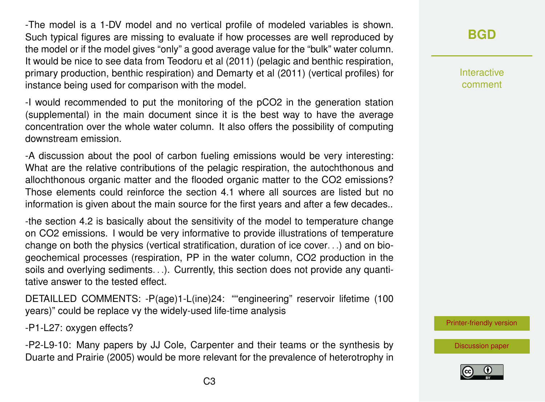-The model is a 1-DV model and no vertical profile of modeled variables is shown. Such typical figures are missing to evaluate if how processes are well reproduced by the model or if the model gives "only" a good average value for the "bulk" water column. It would be nice to see data from Teodoru et al (2011) (pelagic and benthic respiration, primary production, benthic respiration) and Demarty et al (2011) (vertical profiles) for instance being used for comparison with the model.

-I would recommended to put the monitoring of the pCO2 in the generation station (supplemental) in the main document since it is the best way to have the average concentration over the whole water column. It also offers the possibility of computing downstream emission.

-A discussion about the pool of carbon fueling emissions would be very interesting: What are the relative contributions of the pelagic respiration, the autochthonous and allochthonous organic matter and the flooded organic matter to the CO2 emissions? Those elements could reinforce the section 4.1 where all sources are listed but no information is given about the main source for the first years and after a few decades..

-the section 4.2 is basically about the sensitivity of the model to temperature change on CO2 emissions. I would be very informative to provide illustrations of temperature change on both the physics (vertical stratification, duration of ice cover. . .) and on biogeochemical processes (respiration, PP in the water column, CO2 production in the soils and overlying sediments. . .). Currently, this section does not provide any quantitative answer to the tested effect.

DETAILLED COMMENTS: -P(age)1-L(ine)24: ""engineering" reservoir lifetime (100 years)" could be replace vy the widely-used life-time analysis

-P1-L27: oxygen effects?

-P2-L9-10: Many papers by JJ Cole, Carpenter and their teams or the synthesis by Duarte and Prairie (2005) would be more relevant for the prevalence of heterotrophy in **Interactive** comment

[Printer-friendly version](http://www.biogeosciences-discuss.net/bg-2016-100/bg-2016-100-RC2-print.pdf)

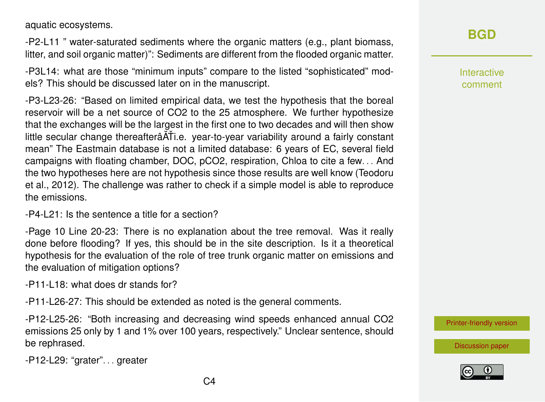aquatic ecosystems.

-P2-L11 " water-saturated sediments where the organic matters (e.g., plant biomass, litter, and soil organic matter)": Sediments are different from the flooded organic matter.

-P3L14: what are those "minimum inputs" compare to the listed "sophisticated" models? This should be discussed later on in the manuscript.

-P3-L23-26: "Based on limited empirical data, we test the hypothesis that the boreal reservoir will be a net source of CO2 to the 25 atmosphere. We further hypothesize that the exchanges will be the largest in the first one to two decades and will then show little secular change thereafterâĂŤi.e. year-to-year variability around a fairly constant mean" The Eastmain database is not a limited database: 6 years of EC, several field campaigns with floating chamber, DOC, pCO2, respiration, Chloa to cite a few. . . And the two hypotheses here are not hypothesis since those results are well know (Teodoru et al., 2012). The challenge was rather to check if a simple model is able to reproduce the emissions.

-P4-L21: Is the sentence a title for a section?

-Page 10 Line 20-23: There is no explanation about the tree removal. Was it really done before flooding? If yes, this should be in the site description. Is it a theoretical hypothesis for the evaluation of the role of tree trunk organic matter on emissions and the evaluation of mitigation options?

-P11-L18: what does dr stands for?

-P11-L26-27: This should be extended as noted is the general comments.

-P12-L25-26: "Both increasing and decreasing wind speeds enhanced annual CO2 emissions 25 only by 1 and 1% over 100 years, respectively." Unclear sentence, should be rephrased.

-P12-L29: "grater". . . greater

Interactive comment

[Printer-friendly version](http://www.biogeosciences-discuss.net/bg-2016-100/bg-2016-100-RC2-print.pdf)